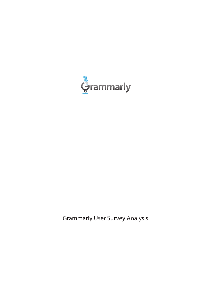

Grammarly User Survey Analysis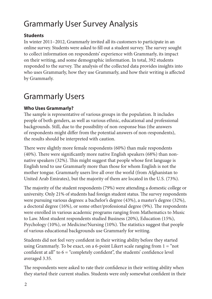# Grammarly User Survey Analysis

### **Students**

In winter 2011–2012, Grammarly invited all its customers to participate in an online survey. Students were asked to fill out a student survey. The survey sought to collect information on respondents' experience with Grammarly, its impact on their writing, and some demographic information. In total, 392 students responded to the survey. The analysis of the collected data provides insights into who uses Grammarly, how they use Grammarly, and how their writing is affected by Grammarly.

# Grammarly Users

### **Who Uses Grammarly?**

The sample is representative of various groups in the population. It includes people of both genders, as well as various ethnic, educational and professional backgrounds. Still, due to the possibility of non-response bias (the answers of respondents might differ from the potential answers of non-respondents), the results should be interpreted with caution.

There were slightly more female respondents (60%) than male respondents (40%). There were significantly more native English speakers (68%) than nonnative speakers (32%). This might suggest that people whose first language is English tend to use Grammarly more than those for whom English is not the mother tongue. Grammarly users live all over the world (from Afghanistan to United Arab Emirates), but the majority of them are located in the U.S. (73%).

The majority of the student respondents (79%) were attending a domestic college or university. Only 21% of students had foreign student status. The survey respondents were pursuing various degrees: a bachelor's degree (43%), a master's degree (32%), a doctoral degree (16%), or some other/professional degree (9%). The respondents were enrolled in various academic programs ranging from Mathematics to Music to Law. Most student respondents studied Business (20%), Education (15%), Psychology (10%), or Medicine/Nursing (10%). The statistics suggest that people of various educational backgrounds use Grammarly for writing.

Students did not feel very confident in their writing ability before they started using Grammarly. To be exact, on a 6-point Likert scale ranging from  $1 =$  "not confident at all" to  $6 =$  "completely confident", the students' confidence level averaged 3.35.

The respondents were asked to rate their confidence in their writing ability when they started their current studies. Students were only somewhat confident in their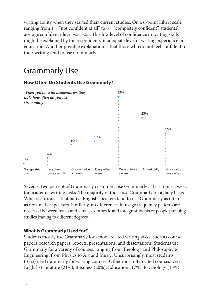writing ability when they started their current studies. On a 6-point Likert scale ranging from  $1 =$  "not confident at all" to  $6 =$  "completely confident", students' average confidence level was 3.55. This low level of confidence in writing skills might be explained by the respondents' inadequate level of writing experience or education. Another possible explanation is that those who do not feel confident in their writing tend to use Grammarly.

# Grammarly Use

#### When you have an academic writing 33% task, how often do you use Grammarly? 23% 16%12% 10% 4% 1% No repeated Less than Once or twice Every other Once or twice Almost daily Once a day or more often use once a month a month week a week

### **How Often Do Students Use Grammarly?**

Seventy-two percent of Grammarly customers use Grammarly at least once a week for academic writing tasks. The majority of those use Grammarly on a daily basis. What is curious is that native English speakers tend to use Grammarly as often as non-native speakers. Similarly, no differences in usage frequency patterns are observed between males and females, domestic and foreign students or people pursuing studies leading to different degrees.

### **What is Grammarly Used for?**

Students mostly use Grammarly for school-related writing tasks, such as course papers, research papers, reports, presentations, and dissertations. Students use Grammarly for a variety of courses, ranging from Theology and Philosophy to Engineering, from Physics to Art and Music. Unsurprisingly, most students (31%) use Grammarly for writing courses. Other most often cited courses were English/Literature (21%), Business (20%), Education (17%), Psychology (13%),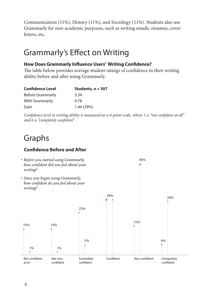Communication (11%), History (11%), and Sociology (11%). Students also use Grammarly for non-academic purposes, such as writing emails, resumes, cover letters, etc.

## Grammarly's Effect on Writing

### **How Does Grammarly Influence Users' Writing Confidence?**

The table below provides average student ratings of confidence in their writing ability before and after using Grammarly.

| <b>Confidence Level</b> | Students, $n = 307$ |
|-------------------------|---------------------|
| <b>Before Grammarly</b> | 3.34                |
| <b>With Grammarly</b>   | 4.78                |
| Gain                    | 1.44 (29%)          |

*Confidence level in writing ability is measured on a 6-point scale, where 1 is "not confident at all" and 6 is "completely confident".*

# Graphs

### **Confidence Before and After**

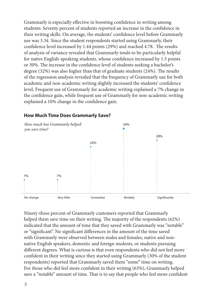Grammarly is especially effective in boosting confidence in writing among students. Seventy percent of students reported an increase in the confidence in their writing skills. On average, the students' confidence level before Grammarly use was 3.34. Since the student respondents started using Grammarly, their confidence level increased by 1.44 points (29%) and reached 4.78. The results of analysis of variance revealed that Grammarly tends to be particularly helpful for native English-speaking students, whose confidence increased by 1.5 points or 30%. The increase in the confidence level of students seeking a bachelor's degree (32%) was also higher than that of graduate students (24%). The results of the regression analysis revealed that the frequency of Grammarly use for both academic and non-academic writing slightly increased the students' confidence level. Frequent use of Grammarly for academic writing explained a 7% change in the confidence gain, while frequent use of Grammarly for non-academic writing explained a 10% change in the confidence gain.



#### **How Much Time Does Grammarly Save?**

Ninety-three percent of Grammarly customers reported that Grammarly helped them save time on their writing. The majority of the respondents (62%) indicated that the amount of time that they saved with Grammarly was "notable" or "significant". No significant differences in the amount of the time saved with Grammarly were observed between males and females, native and nonnative English speakers, domestic and foreign students, or students pursuing different degrees. What is curious is that even respondents who did not feel more confident in their writing since they started using Grammarly (30% of the student respondents) reported that Grammarly saved them "some" time on writing. For those who did feel more confident in their writing (63%), Grammarly helped save a "notable" amount of time. That is to say that people who feel more confident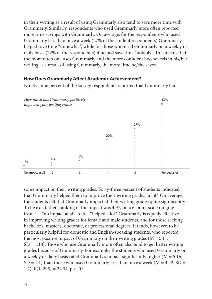in their writing as a result of using Grammarly also tend to save more time with Grammarly. Similarly, respondents who used Grammarly more often reported more time savings with Grammarly. On average, for the respondents who used Grammarly less than once a week (27% of the student respondents) Grammarly helped save time "somewhat", while for those who used Grammarly on a weekly or daily basis (72% of the respondents) it helped save time "notably". This means that the more often one uses Grammarly and the more confident he/she feels in his/her writing as a result of using Grammarly, the more time he/she saves.

### **How Does Grammarly Affect Academic Achievement?**

Ninety-nine percent of the survey respondents reported that Grammarly had



some impact on their writing grades. Forty-three percent of students indicated that Grammarly helped them to improve their writing grades "a lot". On average, the students felt that Grammarly impacted their writing grades quite significantly. To be exact, their ranking of the impact was 4.97, on a 6-point scale ranging from 1—"no impact at all" to 6—"helped a lot". Grammarly is equally effective in improving writing grades for female and male students, and for those seeking bachelor's, master's, doctorate, or professional degrees. It tends, however, to be particularly helpful for domestic and English-speaking students, who reported the most positive impact of Grammarly on their writing grades ( $M = 5.11$ , SD = 1.18). Those who use Grammarly more often also tend to get better writing grades because of Grammarly. For example, the students who used Grammarly on a weekly or daily basis rated Grammarly's impact significantly higher (M = 5.16,  $SD = 1.1$ ) than those who used Grammarly less than once a week ( $M = 4.42$ ,  $SD =$ 1.2),  $F(1, 295) = 24.34$ ,  $p < .01$ .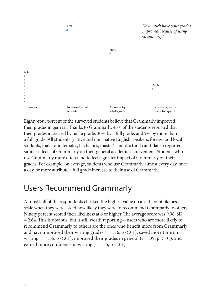

Eighty-four percent of the surveyed students believe that Grammarly improved their grades in general. Thanks to Grammarly, 45% of the students reported that their grades increased by half a grade, 30% by a full grade, and 9% by more than a full grade. All students (native and non-native English speakers, foreign and local students, males and females, bachelor's, master's and doctoral candidates) reported similar effects of Grammarly on their general academic achievement. Students who use Grammarly more often tend to feel a greater impact of Grammarly on their grades. For example, on average, students who use Grammarly almost every day, once a day, or more attribute a full grade increase to their use of Grammarly.

## Users Recommend Grammarly

Almost half of the respondents checked the highest value on an 11-point likeness scale when they were asked how likely they were to recommend Grammarly to others. Ninety percent scored their likeliness at 6 or higher. The average score was 9.08, SD = 2.64. This is obvious, but it still worth reporting—users who are more likely to recommend Grammarly to others are the ones who benefit more from Grammarly and have: improved their writing grades ( $r = .76$ ,  $p < .01$ ), saved more time on writing  $(r = .55, p < .01)$ , improved their grades in general  $(r = .39, p < .01)$ , and gained more confidence in writing  $(r = .35, p < .01)$ .